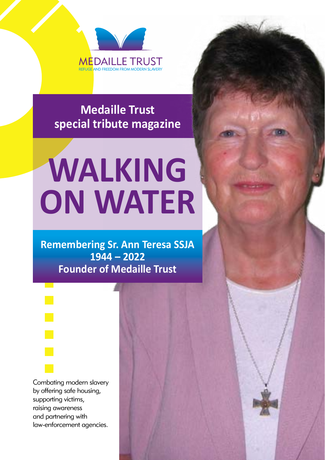

**Medaille Trust special tribute magazine**

# **WALKING ON WATER**

**Remembering Sr. Ann Teresa SSJA 1944 – 2022 Founder of Medaille Trust**

Combating modern slavery by offering safe housing, supporting victims, raising awareness and partnering with law-enforcement agencies.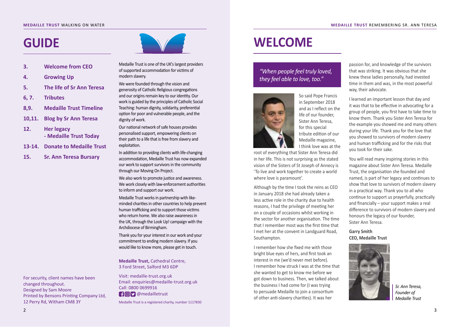### **MEDAILLE TRUST** WALKING ON WATER

# **GUIDE**

- **3. Welcome from CEO**
- **4. Growing Up**
- **5. The life of Sr Ann Teresa**
- **6, 7. Tributes**
- **8,9. Medaille Trust Timeline**
- **10,11. Blog by Sr Ann Teresa**
- **12. Her legacy - Medaille Trust Today**
- **13-14. Donate to Medaille Trust**
- **15. Sr. Ann Teresa Bursary**

For security, client names have been

Printed by Bensons Printing Company Ltd,

changed throughout. Designed by Sam Moore

12 Perry Rd, Witham CM8 3Y

Medaille Trust is one of the UK's largest providers of supported accommodation for victims of modern slavery.

We were founded through the vision and generosity of Catholic Religious congregations and our origins remain key to our identity. Our work is guided by the principles of Catholic Social Teaching: human dignity, solidarity, preferential option for poor and vulnerable people, and the dignity of work.

Our national network of safe houses provides personalised support, empowering clients on their path to a life that is free from slavery and exploitation.

In addition to providing clients with life-changing accommodation, Medaille Trust has now expanded our work to support survivors in the community through our Moving On Project.

We also work to promote justice and awareness. We work closely with law-enforcement authorities to inform and support our work.

Medaille Trust works in partnership with likeminded charities in other countries to help prevent human trafficking and to support those victims who return home. We also raise awareness in the UK, through the Look Up! campaign with the Archdiocese of Birmingham.

Thank you for your interest in our work and your commitment to ending modern slavery. If you would like to know more, please get in touch.

**Medaille Trust,** Cathedral Centre, 3 Ford Street, Salford M3 6DP

Visit: medaille-trust.org.uk Email: enquiries@medaille-trust.org.uk Call: 0800 0699916 **A@D** @medailletrust Medaille Trust is a registered charity, number 1117830

# **WELCOME**

### *"When people feel truly loved, they feel able to love, too."*



So said Pope Francis in September 2018 and as I reflect on the life of our founder, Sister Ann Teresa, for this special tribute edition of our Medaille magazine, I think love was at the

root of everything that Sister Ann Teresa did in her life. This is not surprising as the stated vision of the Sisters of St Joseph of Annecy is 'To live and work together to create a world where love is paramount'.

Although by the time I took the reins as CEO in January 2018 she had already taken a less active role in the charity due to health reasons, I had the privilege of meeting her on a couple of occasions whilst working in the sector for another organisation. The time that I remember most was the first time that I met her at the convent in Landguard Road, Southampton.

I remember how she fixed me with those bright blue eyes of hers, and first took an interest in me (we'd never met before). I remember how struck I was at the time that she wanted to get to know me before we got down to business. Then, we talked about the business I had come for (I was trying to persuade Medaille to join a consortium of other anti-slavery charities). It was her

passion for, and knowledge of the survivors that was striking. It was obvious that she knew these ladies personally, had invested time in them and was, in the most powerful way, their advocate.

I learned an important lesson that day and it was that to be effective in advocating for a group of people, you first have to take time to know them. Thank you Sister Ann Teresa for the example you showed me and many others during your life. Thank you for the love that you showed to survivors of modern slavery and human trafficking and for the risks that you took for their sake.

You will read many inspiring stories in this magazine about Sister Ann Teresa. Medaille Trust, the organisation she founded and named, is part of her legacy and continues to show that love to survivors of modern slavery in a practical way. Thank you to all who continue to support us prayerfully, practically and financially – your support makes a real difference to survivors of modern slavery and honours the legacy of our founder, Sister Ann Teresa.

### **Garry Smith CEO, Medaille Trust**



*Sr. Ann Teresa, Founder of Medaille Trust*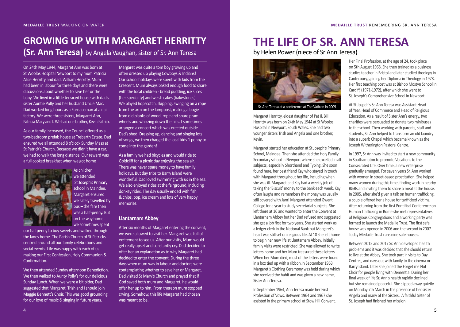### **GROWING UP WITH MARGARET HERRITTY (Sr. Ann Teresa)** by Angela Vaughan, sister of Sr. Ann Teresa

On 24th May 1944, Margaret Ann was born at St Woolos Hospital Newport to my mum Patricia Alice Herritty and dad, William Herritty. Mum had been in labour for three days and there were discussions about whether to save her or the baby. We lived in a little terraced house with dad's sister Auntie Polly and her husband Uncle Mac. Dad worked long hours as a Furnaceman at a nail factory. We were three sisters, Margaret Ann, Patricia Mary and I. We had one brother, Kevin Patrick.

As our family increased, the Council offered us a two-bedroom prefab house at Treberth Estate. Dad ensured we all attended 8 o'clock Sunday Mass at St Patrick's Church. Because we didn't have a car, we had to walk the long distance. Our reward was a full cooked breakfast when we got home

> As children we attended St Joseph's Primary school in Maindee. Margaret ensured we safely travelled by bus – the fare then was a half-penny. But on the way home, we sometimes spent

our halfpenny to buy sweets and walked through the lanes home. The Parish Church of St Patricks centred around all our family celebrations and social events. Life was happy with each of us making our First Confession, Holy Communion & Confirmation.

We then attended Sunday afternoon Benediction. We then walked to Aunty Polly's for our delicious Sunday Lunch. When we were a bit older, Dad suggested that Margaret, Trish and I should join Maggie Bennett's Choir. This was good grounding for our love of music & singing in future years.

Margaret was quite a tom boy growing up and often dressed up playing Cowboys & Indians! Our school holidays were spent with kids from the Crescent. Mum always baked enough food to share with the local children - bread pudding, ice slices (her speciality) and welsh cakes (bakestones). We played hopscotch, skipping, swinging on a rope from the arm on the lamppost, making a bogie from old planks of wood, rope and spare pram wheels and whizzing down the hills. I sometimes arranged a concert which was erected outside Dad's shed. Dressing up, dancing and singing lots of songs, we then charged the local kids 1 penny to come into the garden!

As a family we had bicycles and would ride to Goldcliff for a picnic day enjoying the sea air. There was never spare money to have family holidays. But day trips to Barry Island were wonderful. Dad loved swimming with us in the sea. We also enjoyed rides at the fairground, including donkey rides. The day usually ended with fish & chips, pop, ice cream and lots of very happy memories.

### **Llantarnam Abbey**

After six months of Margaret entering the convent, we were allowed to visit her. Margaret was full of excitement to see us. After our visits, Mum would get really upset and constantly cry. Dad decided to offer her an explanation as to why Margaret had decided to enter the convent. During the three days when mum was in labour and doctors were contemplating whether to save her or Margaret, Dad visited St Mary's Church and prayed that if God saved both mum and Margaret, he would offer her up to him. From thereon mum stopped crying. Somehow, this life Margaret had chosen was meant to be.

# **THE LIFE OF SR. ANN TERESA**

by Helen Power (niece of Sr Ann Teresa)



Sr. Ann Teresa at a conference at The Vatican in 2009

Margaret Herritty, eldest daughter of Pat & Bill Herritty was born on 24th May 1944 at St Woolos Hospital in Newport, South Wales. She had two younger sisters Trish and Angela and one brother, Kevin.

Margaret started her education at St Joseph's Primary School, Maindee. Then she attended the Holy Family Secondary school in Newport where she excelled in all subjects, especially Shorthand and Typing. She soon found here, her best friend Kay who stayed in touch with Margaret throughout her life, including when she was ill. Margaret and Kay had a weekly job of taking the 'Biscuit' money to the bank each week. Kay often laughs and remembers the money was usually still covered with Jam! Margaret attended Gwent College for a year to study secretarial subjects. She left there at 16 and wanted to enter the Convent at Llantarnam Abbey but her Dad refused and suggested she get a job first for two years. She started work as a ledger clerk in the National Bank but Margaret's heart was still set on religious life. At 18 she left home to begin her new life at Llantarnam Abbey. Initially family visits were restricted. She was allowed to write letters home and her Mum treasured these letters. When her Mum died, most of the letters were found in a box tied up with a ribbon.In September 1963 Margaret's Clothing Ceremony was held during which she received the habit and was given a new name, Sister Ann Teresa.

In September 1964, Ann Teresa made her First Profession of Vows. Between 1964 and 1967 she assisted in the primary school at Stow Hill Convent.

Her Final Profession, at the age of 24, took place on 5th August 1968. She then trained as a business studies teacher in Bristol and later studied theology in Canterbury, gaining her Diploma in Theology in 1978. Her first teaching post was at Bishop Mostyn School in Cardiff, (1971-1972), after which she went to St. Joseph's Comprehensive School in Newport.

At St Jospeh's Sr. Ann Teresa was Assistant Head of Year, Head of Commerce and Head of Religious Education. As a result of Sister Ann's energy, two charities were persuaded to donate two minibuses to the school. Then working with parents, staff and students, Sr. Ann helped to transform an old laundry into a superb Chapel which became known as the Joseph Witherington Pastoral Centre.

In 1997, Sr Ann was invited to start a new community in Southampton to promote Vocations to the Consecrated Life. Over time, a new enterprise gradually emerged. For seven years Sr. Ann worked with women in street-based prostitution. She helped many women during this time, finding work in nearby B&Bs and inviting them to share a meal at the house. In 2005, after she'd given a talk on human trafficking, a couple offered her a house for tarfficked victims. After returning from the first Pontifical Conference on Human Trafficking in Rome she met representatives of Religious Congregations and a working party was formed to launch the Medaille Trust. The first safe house was opened in 2006 and the second in 2007. Today Medaille Trust runs nine safe houses.

Between 2015 and 2017 Sr. Ann developed health problems and it was decided that she should return to live at the Abbey. She took part in visits to Day Centres, and days out with family to the cinema or Barry Island. Later she joined the Forget me Not Choir for people living with Dementia. During her final week of life Sr. Ann's health rapidly declined but she remained peaceful. She slipped away quietly on Monday 7th March in the presence of her sister Angela and many of the Sisters. A faithful Sister of St. Joseph had finished her mission.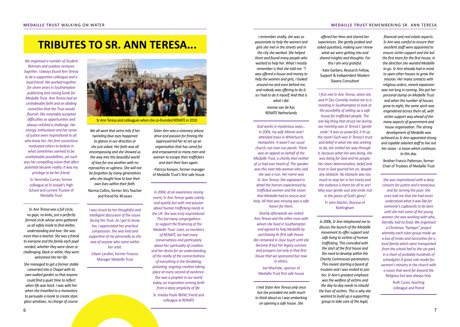### **TRIBUTES TO SR. ANN TERESA...**

*We organised a number of Student Retreats and outdoor ventures together. I always found Ann Teresa to be a supportive colleague and a loyal friend. We worked together for seven years in Southampton publicising and raising funds for Medaille Trust. Ann Teresa had an unshakeable faith and an abiding conviction that the Trust would flourish. She invariably accepted difficulties as opportunities and always relished a challenge. Her energy, enthusiasm and her sense of justice were inspirational to all who knew her. Her firm convictions motivated others to believe in what sometimes seemed to be unattainable possibilities, yet such was her compelling vision that often potential became reality. It was my privilege to be her friend.*

Sr. Henrietta Curran, former colleague at St Joseph's High School and current Trustee of Medaille Trust

*Sr. Ann Teresa was a full circle, no gaps, no kinks, just a perfectly formed circle whose arms gathered us all safely inside to find shelter, understanding and love. She was more than a teacher. She was a friend to everyone and the family each pupil needed, whether they were clever or challenging, black or white; they were welcomed into her life.*

*She managed to get a former stable converted into a Chapel with its own walled garden so that anyone could find a quiet time to reflect when life was hard. I was with her when she travelled to a monastery to persuade a monk to create stain glass windows, no charge of course.*



Sr Ann Teresa and colleagues when she co-founded RENATE in 2010

*We all went that extra mile if her twinkling blue eyes happened to glance in our direction or she just asked. Her faith was all encompassing and she showed us the way into this beautiful world of love for one another with no reproaches or ugliness. She will not be forgotten by many generations who she taught how to love their own lives within their faith.*

Norma Collins, former Arts Teacher and friend for 40 years

*I was struck by her thoughtful and intelligent discussion of the issues facing the Trust. As I got to know her, I appreciated her practical compassion. She was kind and supportive of me personally as she was of anyone who came within her orbit.*

Edwin Landles, former Finance Manager Medaille Trust

*Sister Ann was a visionary whose drive and passion for freeing the oppressed led her to set up an organisation that has cared for and empowered so many men and women to escape their traffickers and start their lives again.*

- Patricia Kenyon, former manager of Medaille Trust's first safe house

*In 2004, at an awareness raising event, Sr Ann Teresa spoke calmly and quietly but with real passion about human trafficking needs in the UK. She was truly inspirational. This led many congregations to support the financing of the Medaille Trust. Later, as members of RENATE, we had many conversations and particularly about her spirituality of creation and her desire for an understanding of the reality of the connectedness* 

*of everything in the throbbing, pulsating, ongoing creation taking place at every second of existence. She was a prophet in our world today, an inspiration coming forth from a deep simplicity of life.* Sr. Imelda Poole IBVM, friend and colleague at RENATE

*I remember vividly, she was so passionate to help the women and girls she met in the streets and in the city she worked. She helped them and found many people who wanted to help her. What I mostly remember is that she told me: "I was offered a house and money to help the women and girls, I looked around me and even behind me, and nobody was offering to do it; so I had to do it myself. And that is what I did.*

> Ivonne van de Kar, RENATE Netherlands

*God works in mysterious ways... In 2004, my wife Minnie and I attended mass in Whitchurch, Hampshire. It wasn't our usual church, not even our parish. There was an appeal on behalf of the Medaille Trust, a charity that neither of us had ever heard of. The speaker was this neat tidy woman who said she was a nun. Her name was Sr. Ann Teresa. She explained in detail the horrors experienced by trafficked women and the vision that Medaille had to rescue and help. All that was missing was a safe haven for them.*

*Shortly afterwards we visited Ann Teresa and the other nuns with whom she lived in Southampton and agreed to help Medaille by purchasing its first safe house. We remained in close touch until she became ill but her legacy survives and prospers not only in that first house that we sponsored but now in others.*

Joe MacHale, sponsor of Medaille Trust first safe house

*I met Sister Ann Teresa only once but she provided me with much to think about as I was embarking on opening a safe house. She* 

*offered her time and shared her experiences. She gently probed and asked questions, making sure I knew what we were getting into and shared insights and thoughts. For this I am very grateful.*

- Kate Garbers, Research Fellow, Support & Independent Modern Slavery Consultant

*I first met Sr Ann Teresa, when she and Fr Des Connelly invited me to a meeting in Southampton to look at the possibility of setting up a safe house for trafficked people. The one big thing that struck me during our meeting was Sr Teresa's 'gentle smile'. It was so powerful, it lit up the room! Such was Sr Teresa's trust and belief in what she was seeking to do, she smiled her way through it, because what she was doing, she was doing for God and his people. Her sheer determination, belief and trust in God spurred her on, despite any obstacle. No obstacle was too much to stop her in her tracks and the evidence is there for all to see! May your gentle soul and smile rest in the peace of God's glory!*

> Fr John Martin, Diocese of Nottingham

*In 2006, Sr Ann telephoned me to discuss the launch of the Medaille movement to offer support and safe living to victims of human trafficking. This coincided with the start of the first house and the need to develop within the Charity Commission parameters. This meant starting a board of trustees and I was invited to join her. Sr Ann's greatest emphasis was the welfare of victims and the day-to-day needs to rebuild the lives of victims. This is why she wanted to build up a supporting group to take care of the legal,* 

*financial and real estate aspects. Sr Ann was careful to ensure that excellent staff were appointed to ensure victim support and she led the first team for the first house, in the direction she wanted Medaille to go. Sr Ann already had in mind to open other houses to grow the mission. Her many contacts with religious orders, meant expansion was not long in coming. She put her personal stamp on Medaille Trust and when the number of houses grew to eight, the same spirit was engendered across them all, with victim support way ahead of the many aspects of government and house organisation. The strong development of Medaille was achieved as Sr Ann appointed strong and capable salaried staff to live out her vision - a vision which continues to this day.*

Brother Francis Patterson, former Chair of Trustees of Medaille Trust

*She was inspirational with a deep concern for justice and a tenacious zeal for serving the poor. She once told me that she had never understood what it was like for someone's cupboards to be bare until she met some of the young women she was working with who, literally, had no food. We organised* 

*a Christmas "hamper" project whereby each tutor group made up a box of treats and necessities for a local family which were transported from the school hall to the car park in a chain of probably hundreds of schoolgirls! A great role model for women's ministry in the church with a vision that went far beyond the Religious but was always holy.*

> Ruth Cunio, teaching colleague and friend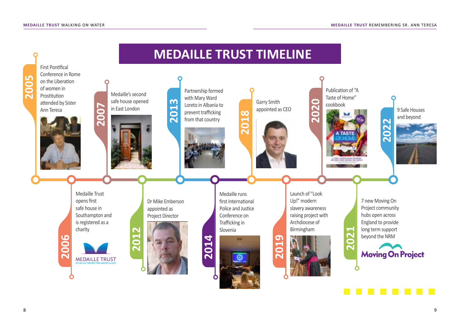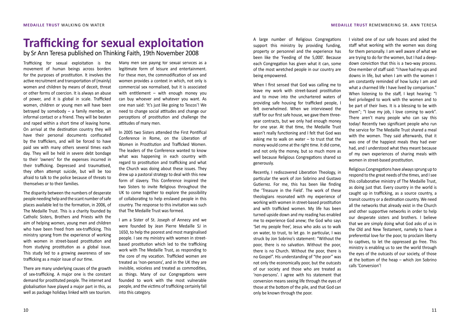# **Trafficking for sexual exploitation**

by Sr Ann Teresa published on Thinking Faith, 19th November 2008

Trafficking for sexual exploitation is the movement of human beings across borders for the purposes of prostitution. It involves the active recruitment and transportation of (mainly) women and children by means of deceit, threat or other forms of coercion. It is always an abuse of power, and it is global in scale. Trafficked women, children or young men will have been betrayed by somebody – a family member, an informal contact or a friend. They will be beaten and raped within a short time of leaving home. On arrival at the destination country they will have their personal documents confiscated by the traffickers, and will be forced to have paid sex with many others several times each day. They will be held in severe debt bondage to their 'owners' for the expenses incurred in their trafficking. Depressed and traumatised, they often attempt suicide, but will be too afraid to talk to the police because of threats to themselves or to their families.

The disparity between the numbers of desperate people needing help and the scant number of safe places available led to the formation, in 2006, of The Medaille Trust. This is a charity founded by Catholic Sisters, Brothers and Priests with the aim of helping women, young men and children who have been freed from sex-trafficking. This ministry sprang from the experience of working with women in street-based prostitution and from studying prostitution as a global issue. This study led to a growing awareness of sextrafficking as a major issue of our time.

There are many underlying causes of the growth of sex-trafficking. A major one is the constant demand for prostituted people. The internet and globalisation have played a major part in this, as well as package holidays linked with sex tourism.

Many men see paying for sexual services as a legitimate form of leisure and entertainment. For these men, the commodification of sex and women provides a context in which, not only is commercial sex normalised, but it is associated with entitlement – with enough money you can buy whoever and whatever you want. As one man said: 'It's just like going to Tescos'! We need to change social attitudes and change our perceptions of prostitution and challenge the attitudes of many men.

In 2005 two Sisters attended the First Pontifical Conference in Rome, on the Liberation of Women in Prostitution and Trafficked Women. The leaders of the Conference wanted to know what was happening in each country with regard to prostitution and trafficking and what the Church was doing about these issues. They drew up a pastoral strategy to deal with this new form of slavery. This Conference inspired the two Sisters to invite Religious throughout the UK to come together to explore the possibility of collaborating to help enslaved people in this country. The response to this invitation was such that The Medaille Trust was formed.

I am a Sister of St. Joseph of Annecy and we were founded by Jean Pierre Medaille SJ in 1650, to help the poorest and most marginalised people. I see my ministry with women in streetbased prostitution which led to the trafficking work with The Medaille Trust, as responding to the core of my vocation. Trafficked women are treated as 'non-persons', and in the UK they are invisible, voiceless and treated as commodities, as things. Many of our Congregations were founded to work with the most vulnerable people, and the victims of trafficking certainly fall into this category.

A large number of Religious Congregations support this ministry by providing funding, property or personnel and the experience has been like the 'Feeding of the 5,000'. Because each Congregation has given what it can, some of the most wretched people in our country are being empowered.

When I first sensed that God was calling me to leave my work with street-based prostitution and to move into the unchartered waters of providing safe housing for trafficked people, I felt overwhelmed. When we interviewed the staff for our first safe house, we gave them threeyear contracts, but we only had enough money for one year. At that time, the Medaille Trust wasn't really functioning and I felt that God was asking me to walk on water – to trust that the money would come at the right time. It did come, and not only the money, but so much more as well because Religious Congregations shared so generously.

Recently, I rediscovered Liberation Theology, in particular the work of Jon Sobrino and Gustavo Gutierrez. For me, this has been like finding the 'Treasure in the Field'. The work of these theologians resonated with my experience of working with women in street-based prostitution and with trafficked women. My life has been turned upside down and my reading has enabled me to experience God anew; the God who says 'Set my people free', Jesus who asks us to walk on water, to trust, to let go. In particular, I was struck by Jon Sobrino's statement: "Without the poor, there is no salvation. Without the poor, there is no Church. Without the poor, there is no Gospel". His understanding of "the poor" was not only the economically poor, but the outcasts of our society and those who are treated as 'non-persons'. I agree with his statement that conversion means seeing life through the eyes of those at the bottom of the pile, and that God can only be known through the poor.

I visited one of our safe houses and asked the staff what working with the women was doing for them personally. I am well aware of what we are trying to do for the women, but I had a deepdown conviction that this is a two-way process. One member of staff said: "I have had my ups and downs in life, but when I am with the women I am constantly reminded of how lucky I am and what a charmed life I have lived by comparison." When listening to the staff, I kept hearing: "I feel privileged to work with the women and to be part of their lives. It is a blessing to be with them"; "I love my job, I love coming to work". There aren't many people who can say this today! Recently two significant people who run the service for The Medaille Trust shared a meal with the women. They said afterwards, that it was one of the happiest meals they had ever had, and I understood what they meant because of my own experiences of sharing meals with women in street-based prostitution.

Religious Congregations have always sprung up to respond to the great needs of the times, and I see this collaborative ministry of The Medaille Trust, as doing just that. Every country in the world is caught up in trafficking, as a source country, a transit country or a destination country. We need all the networks that already exist in the Church and other supportive networks in order to help our desperate sisters and brothers. I believe that we are simply doing what God asks of us in the Old and New Testament, namely to have a preferential love for the poor, to proclaim liberty to captives, to let the oppressed go free. This ministry is enabling us to see the world through the eyes of the outcasts of our society, of those at the bottom of the heap – which Jon Sobrino calls 'Conversion'!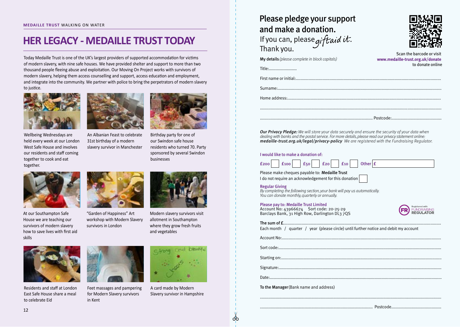### **HER LEGACY - MEDAILLE TRUST TODAY**

Today Medaille Trust is one of the UK's largest providers of supported accommodation for victims of modern slavery, with nine safe houses. We have provided shelter and support to more than two thousand people fleeing abuse and exploitation. Our Moving On Project works with survivors of modern slavery, helping them access counselling and support, access education and employment, and integrate into the community. We partner with police to bring the perpetrators of modern slavery to justice.



Wellbeing Wednesdays are held every week at our London West Safe House and involves our residents and staff coming together to cook and eat together.



An Albanian Feast to celebrate 31st birthday of a modern slavery survivor in Manchester



Birthday party for one of our Swindon safe house residents who turned 70. Party sponsored by several Swindon businesses

At our Southampton Safe House we are teaching our survivors of modern slavery how to save lives with first aid skills



"Garden of Happiness" Art workshop with Modern Slavery survivors in London



Modern slavery survivors visit allotment in Southampton where they grow fresh fruits and vegetables



Residents and staff at London East Safe House share a meal to celebrate Eid



Feet massages and pampering for Modern Slavery survivors in Kent



A card made by Modern Slavery survivor in Hampshire

| Please pledge your support<br>and make a donation.              |                                                                                   |  |
|-----------------------------------------------------------------|-----------------------------------------------------------------------------------|--|
| If you can, please gift aid it.<br>Thank you.                   |                                                                                   |  |
| <b>My details</b> (please complete in block capitals)<br>Title: | Scan the barcode or visit<br>www.medaille-trust.org.uk/donate<br>to donate online |  |
|                                                                 |                                                                                   |  |
|                                                                 |                                                                                   |  |
|                                                                 |                                                                                   |  |

**Our Privacy Pledge:** We will store your data securely and ensure the security of your data when dealing with banks and the postal service. For more details, please read our privacy statement online: medaille-trust.org.uk/legal/privacy-policy We are registered with the Fundraising Regulator.

#### I would like to make a donation of:



Please make cheques payable to: Medaille Trust I do not require an acknowledgement for this donation

#### Regular Giving

By completing the following section, your bank will pay us automatically. You can donate monthly, quarterly or annually.

#### Please pay to: Medaille Trust Limited

Account No: 43966674 Sort code: 20-25-29 Barclays Bank, 31 High Row, Darlington DL3 7QS



The sum of £........................................................................................................................................

Each month / quarter / year (please circle) until further notice and debit my account

Starting on:..........................................................................................................................................

Account No:.........................................................................................................................................

Sort code:............................................................................................................................................

Signature:............................................................................................................................................

Date:....................................................................................................................................................

ക

To the Manager (Bank name and address)

13 ................................................................................................. Postcode...........................................

12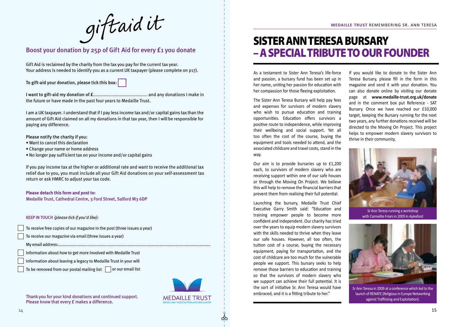giftaid it

### Boost your donation by 25p of Gift Aid for every £1 you donate

Gift Aid is reclaimed by the charity from the tax you pay for the current tax year. Your address is needed to identify you as a current UK taxpayer (please complete on p17).

To gift-aid your donation, please tick this box:

I want to gift-aid my donation of £.......................................... and any donations I make in the future or have made in the past four years to Medaille Trust.

I am a UK taxpayer. I understand that if I pay less income tax and/or capital gains tax than the amount of Gift Aid claimed on all my donations in that tax year, then I will be responsible for paying any difference.

Please notify the charity if you:

- Want to cancel this declaration
- Change your name or home address
- No longer pay sufficient tax on your income and/or capital gains

If you pay income tax at the higher or additional rate and want to receive the additional tax relief due to you, you must include all your Gift Aid donations on your self-assessment tax return or ask HMRC to adjust your tax code.

**Please detach this form and post to:**

Medaille Trust, Cathedral Centre, 3 Ford Street, Salford M3 6DP

KEEP INTOUCH (please tick if you'd like):

| To receive free copies of our magazine in the post (three issues a year)                                                                                                                                                                                                                              |
|-------------------------------------------------------------------------------------------------------------------------------------------------------------------------------------------------------------------------------------------------------------------------------------------------------|
| $\frac{1}{2}$ , and $\frac{1}{2}$ , and $\frac{1}{2}$ , $\frac{1}{2}$ , $\frac{1}{2}$ , $\frac{1}{2}$ , $\frac{1}{2}$ , $\frac{1}{2}$ , $\frac{1}{2}$ , $\frac{1}{2}$ , $\frac{1}{2}$ , $\frac{1}{2}$ , $\frac{1}{2}$ , $\frac{1}{2}$ , $\frac{1}{2}$ , $\frac{1}{2}$ , $\frac{1}{2}$ , $\frac{1}{2}$ |

- To receive our magazine via email (three issues a year)
- My email address:.................................................................................................................................…

Information about how to get more involved with Medaille Trust

Information about leaving a legacy to Medaille Trust in your will

To be removed from our postal mailing list  $\;\;|\;\;$  or our email list

Thank you for your kind donations and continued support. Please know that every **£** makes a difference.



රර්

### SISTER ANN TERESA BURSARY – A SPECIAL TRIBUTE TO OUR FOUNDER

As a testament to Sister Ann Teresa's life-force and passion, a bursary fund has been set up in her name, uniting her passion for education with her compassion for those fleeing exploitation.

The Sister Ann Teresa Bursary will help pay fees and expenses for survivors of modern slavery who wish to pursue education and training opportunities. Education offers survivors a positive route to independence, while improving their wellbeing and social support. Yet all too often the cost of the course, buying the equipment and tools needed to attend, and the associated childcare and travel costs, stand in the way.

Our aim is to provide bursaries up to £1,200 each, to survivors of modern slavery who are receiving support within one of our safe houses or through the Moving On Project. We believe this will help to remove the financial barriers that prevent them from realising their full potential.

Launching the bursary, Medaille Trust Chief Executive Garry Smith said: "Education and training empower people to become more confident and independent. Our charity has tried over the years to equip modern slavery survivors with the skills needed to thrive when they leave our safe houses. However, all too often, the tuition cost of a course, buying the necessary equipment, paying for transportation, and the cost of childcare are too much for the vulnerable people we support. This bursary seeks to help remove those barriers to education and training so that the survivors of modern slavery who we support can achieve their full potential. It is the sort of initiative Sr. Ann Teresa would have embraced, and it is a fitting tribute to her."

If you would like to donate to the Sister Ann Teresa Bursary, please fill in the form in this magazine and send it with your donation. You can also donate online by visiting our donate page at **www.medaille-trust.org.uk/donate** and in the comment box put Reference - SAT Bursary. Once we have reached our £10,000 target, keeping the Bursary running for the next two years, any further donations received will be directed to the Moving On Project. This project helps to empower modern slavery survivors to thrive in their community.



Sr Ann Teresa running a workshop with Carmelite Friars in 2009 in Aylesford



Sr Ann Teresa in 2009 at a conference which led to the launch of RENATE (Religious in Europe Networking against Trafficking and Exploitation).